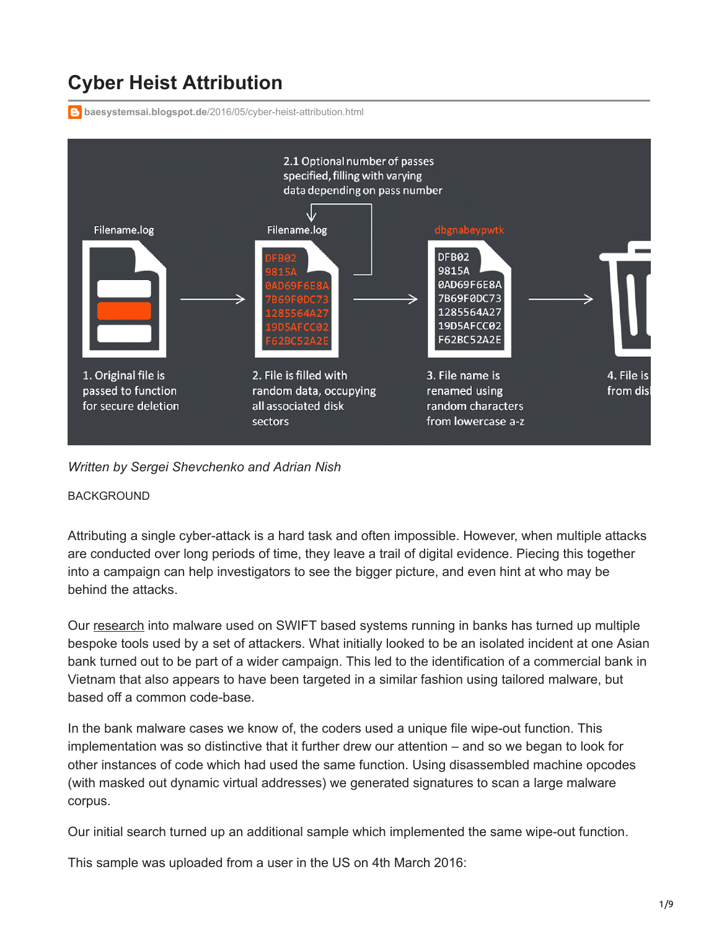# **Cyber Heist Attribution**

**baesystemsai.blogspot.de**[/2016/05/cyber-heist-attribution.html](http://baesystemsai.blogspot.de/2016/05/cyber-heist-attribution.html)



*Written by Sergei Shevchenko and Adrian Nish*

## BACKGROUND

Attributing a single cyber-attack is a hard task and often impossible. However, when multiple attacks are conducted over long periods of time, they leave a trail of digital evidence. Piecing this together into a campaign can help investigators to see the bigger picture, and even hint at who may be behind the attacks.

Our [research](http://baesystemsai.blogspot.com/2016/04/two-bytes-to-951m.html) into malware used on SWIFT based systems running in banks has turned up multiple bespoke tools used by a set of attackers. What initially looked to be an isolated incident at one Asian bank turned out to be part of a wider campaign. This led to the identification of a commercial bank in Vietnam that also appears to have been targeted in a similar fashion using tailored malware, but based off a common code-base.

In the bank malware cases we know of, the coders used a unique file wipe-out function. This implementation was so distinctive that it further drew our attention – and so we began to look for other instances of code which had used the same function. Using disassembled machine opcodes (with masked out dynamic virtual addresses) we generated signatures to scan a large malware corpus.

Our initial search turned up an additional sample which implemented the same wipe-out function.

This sample was uploaded from a user in the US on 4th March 2016: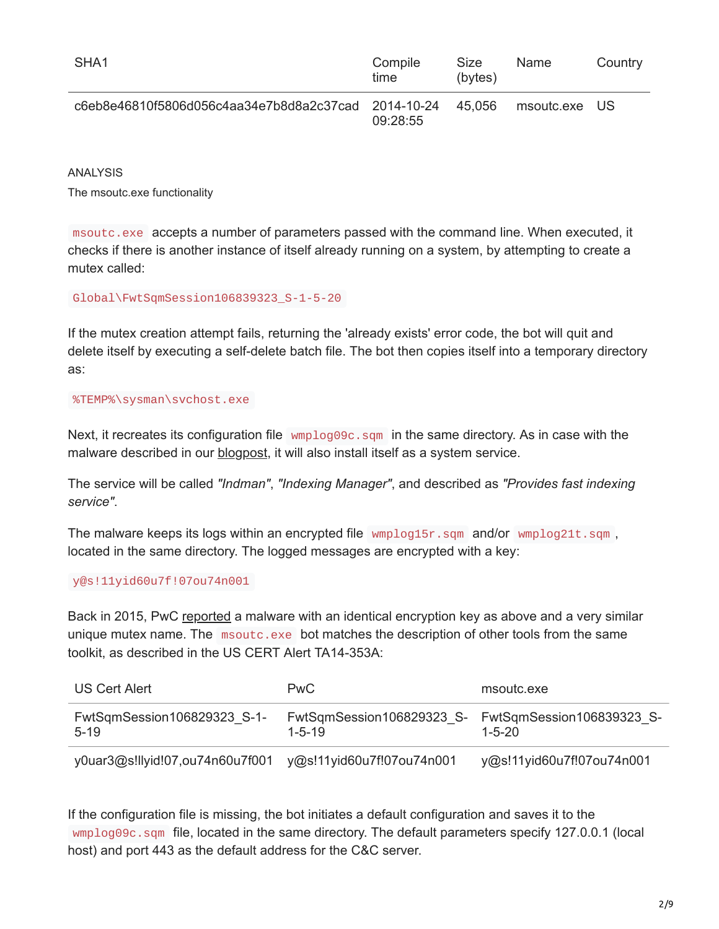| SHA <sub>1</sub>                                    | Compile<br>time | Size<br>(bytes) | <b>Name</b>   | Country |
|-----------------------------------------------------|-----------------|-----------------|---------------|---------|
| c6eb8e46810f5806d056c4aa34e7b8d8a2c37cad 2014-10-24 | 09:28:55        | 45.056          | msoutc.exe US |         |

ANALYSIS

The msoutc.exe functionality

msoutc.exe accepts a number of parameters passed with the command line. When executed, it checks if there is another instance of itself already running on a system, by attempting to create a mutex called:

Global\FwtSqmSession106839323\_S-1-5-20

If the mutex creation attempt fails, returning the 'already exists' error code, the bot will quit and delete itself by executing a self-delete batch file. The bot then copies itself into a temporary directory as:

#### %TEMP%\sysman\svchost.exe

Next, it recreates its configuration file  $wmplog09c$ . sqm in the same directory. As in case with the malware described in our [blogpost,](http://baesystemsai.blogspot.com/2016/04/two-bytes-to-951m.html) it will also install itself as a system service.

The service will be called *"Indman"*, *"Indexing Manager"*, and described as *"Provides fast indexing service"*.

The malware keeps its logs within an encrypted file wmplog15r.sqm and/or wmplog21t.sqm, located in the same directory. The logged messages are encrypted with a key:

## y@s!11yid60u7f!07ou74n001

Back in 2015, PwC [reported](http://pwc.blogs.com/cyber_security_updates/2015/01/destructive-malware.html) a malware with an identical encryption key as above and a very similar unique mutex name. The msoutc.exe bot matches the description of other tools from the same toolkit, as described in the US CERT Alert TA14-353A:

| US Cert Alert                           | PwC.                      | msoutc.exe                                                          |
|-----------------------------------------|---------------------------|---------------------------------------------------------------------|
| FwtSqmSession106829323 S-1-<br>$5 - 19$ | $1 - 5 - 19$              | FwtSqmSession106829323 S- FwtSqmSession106839323 S-<br>$1 - 5 - 20$ |
| y0uar3@s!llyid!07,ou74n60u7f001         | y@s!11yid60u7f!07ou74n001 | y@s!11yid60u7f!07ou74n001                                           |

If the configuration file is missing, the bot initiates a default configuration and saves it to the wmplog09c.sqm file, located in the same directory. The default parameters specify 127.0.0.1 (local host) and port 443 as the default address for the C&C server.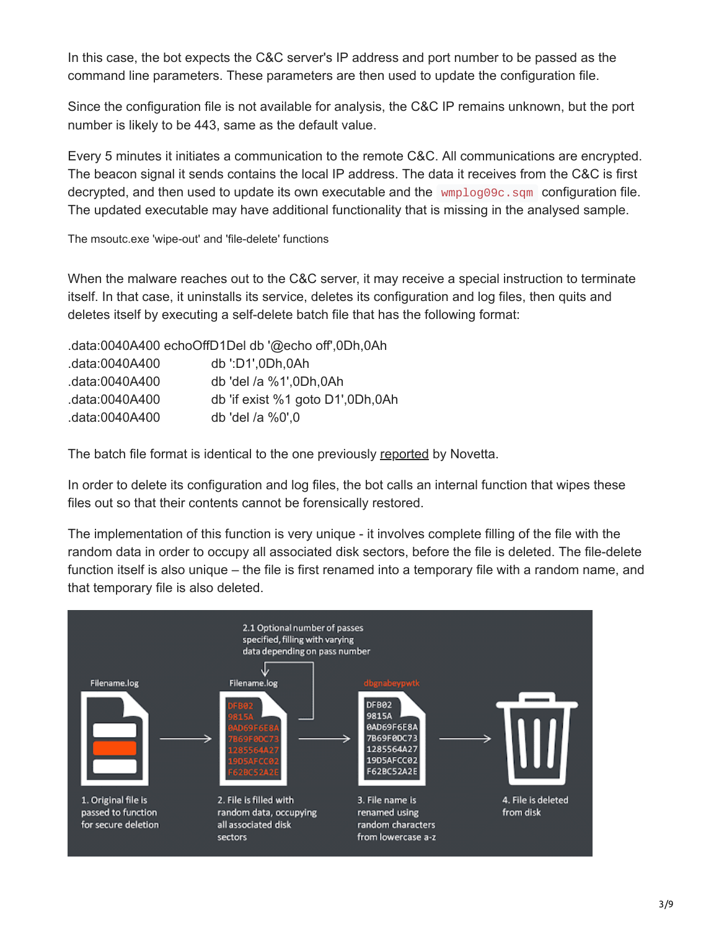In this case, the bot expects the C&C server's IP address and port number to be passed as the command line parameters. These parameters are then used to update the configuration file.

Since the configuration file is not available for analysis, the C&C IP remains unknown, but the port number is likely to be 443, same as the default value.

Every 5 minutes it initiates a communication to the remote C&C. All communications are encrypted. The beacon signal it sends contains the local IP address. The data it receives from the C&C is first decrypted, and then used to update its own executable and the wmplog09c.sqm configuration file. The updated executable may have additional functionality that is missing in the analysed sample.

The msoutc.exe 'wipe-out' and 'file-delete' functions

When the malware reaches out to the C&C server, it may receive a special instruction to terminate itself. In that case, it uninstalls its service, deletes its configuration and log files, then quits and deletes itself by executing a self-delete batch file that has the following format:

.data:0040A400 echoOffD1Del db '@echo off',0Dh,0Ah .data:0040A400 db ':D1',0Dh,0Ah .data:0040A400 db 'del /a %1',0Dh,0Ah .data:0040A400 db 'if exist %1 goto D1',0Dh,0Ah .data:0040A400 db 'del /a %0',0

The batch file format is identical to the one previously [reported](https://www.operationblockbuster.com/wp-content/uploads/2016/02/Operation-Blockbuster-Report.pdf) by Novetta.

In order to delete its configuration and log files, the bot calls an internal function that wipes these files out so that their contents cannot be forensically restored.

The implementation of this function is very unique - it involves complete filling of the file with the random data in order to occupy all associated disk sectors, before the file is deleted. The file-delete function itself is also unique – the file is first renamed into a temporary file with a random name, and that temporary file is also deleted.

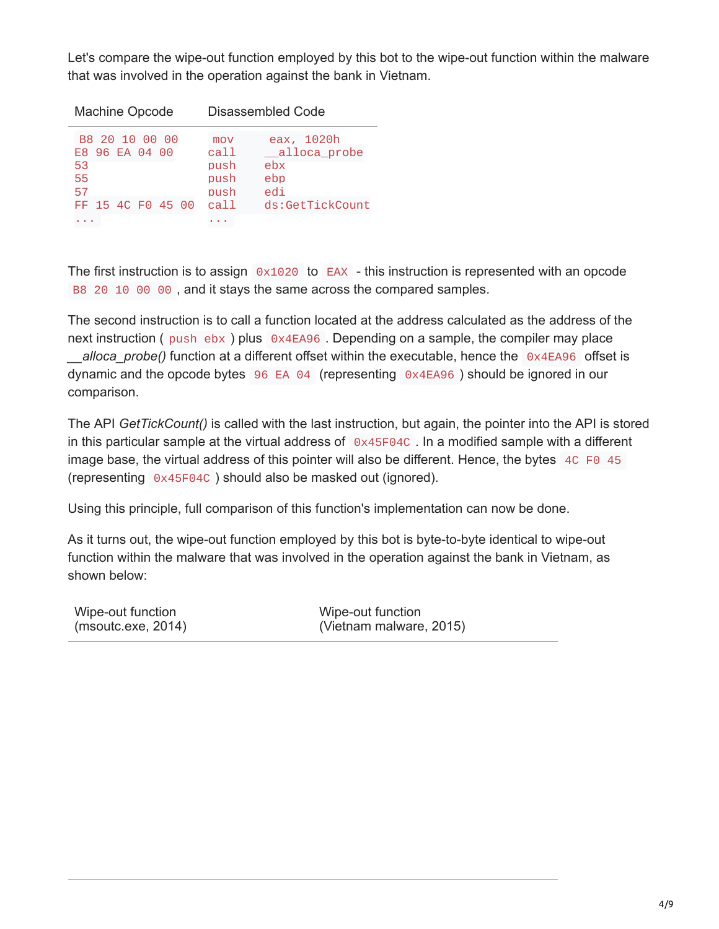Let's compare the wipe-out function employed by this bot to the wipe-out function within the malware that was involved in the operation against the bank in Vietnam.

| <b>Machine Opcode</b>                              |                                     | Disassembled Code                               |
|----------------------------------------------------|-------------------------------------|-------------------------------------------------|
| B8 20 10 00 00<br>E8 96 EA 04 00<br>53<br>55<br>57 | mov<br>call<br>push<br>push<br>push | eax, 1020h<br>alloca_probe<br>ebx<br>ebp<br>edi |
| FF 15 4C F0 45 00                                  | call                                | ds:GetTickCount                                 |
|                                                    |                                     |                                                 |

The first instruction is to assign  $0x1020$  to EAX - this instruction is represented with an opcode B8 20 10 00 00, and it stays the same across the compared samples.

The second instruction is to call a function located at the address calculated as the address of the next instruction ( push ebx ) plus  $0 \times 4E$ A96. Depending on a sample, the compiler may place *\_\_alloca\_probe()* function at a different offset within the executable, hence the 0x4EA96 offset is dynamic and the opcode bytes 96 EA 04 (representing 0x4EA96 ) should be ignored in our comparison.

The API *GetTickCount()* is called with the last instruction, but again, the pointer into the API is stored in this particular sample at the virtual address of  $\alpha$  ox45F04C. In a modified sample with a different image base, the virtual address of this pointer will also be different. Hence, the bytes 4C F0 45 (representing 0x45F04C ) should also be masked out (ignored).

Using this principle, full comparison of this function's implementation can now be done.

As it turns out, the wipe-out function employed by this bot is byte-to-byte identical to wipe-out function within the malware that was involved in the operation against the bank in Vietnam, as shown below:

| Wipe-out function  | Wipe-out function       |
|--------------------|-------------------------|
| (msoute.exe, 2014) | (Vietnam malware, 2015) |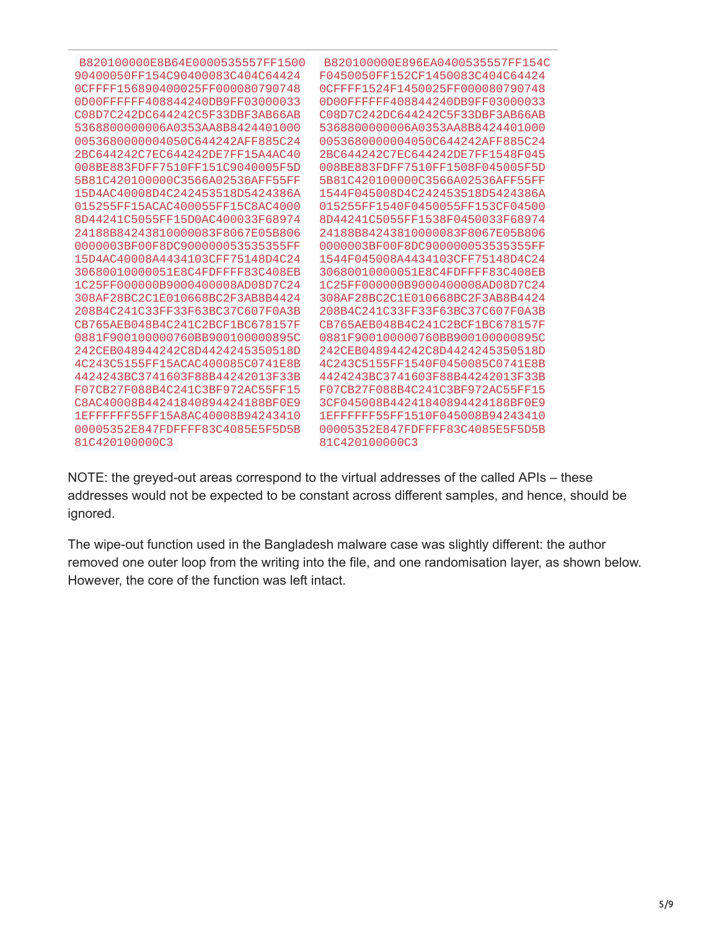| B820100000E8B64E0000535557FF1500  | B820100000E896EA0400535557FF154C |
|-----------------------------------|----------------------------------|
| 90400050FF154C90400083C404C64424  | F0450050FF152CF1450083C404C64424 |
| 0CFFFF156890400025FF000080790748  | 0CFFFF1524F1450025FF000080790748 |
| 0D00FFFFFF408844240DB9FF03000033  | 0D00FFFFFF408844240DB9FF03000033 |
| C08D7C242DC644242C5F33DBF3AB66AB  | C08D7C242DC644242C5F33DBF3AB66AB |
| 5368800000006A0353AA8B8424401000  | 5368800000006A0353AA8B8424401000 |
| 0053680000004050C644242AFF885C24  | 0053680000004050C644242AFF885C24 |
| 2BC644242C7EC644242DE7FF15A4AC40  | 2BC644242C7EC644242DE7FF1548F045 |
| 008BE883FDFF7510FF151C9040005F5D  | 008BE883FDFF7510FF1508F045005F5D |
| 5B81C420100000C3566A02536AFF55FF  | 5B81C420100000C3566A02536AFF55FF |
| 15D4AC40008D4C242453518D5424386A  | 1544F045008D4C242453518D5424386A |
| 015255FF15ACAC400055FF15C8AC4000  | 015255FF1540F0450055FF153CF04500 |
| 8D44241C5055FF15D0AC400033F68974  | 8D44241C5055FF1538F0450033F68974 |
| 24188B84243810000083F8067E05B806  | 24188B84243810000083F8067E05B806 |
| 0000003BF00F8DC900000053535355FF  | 0000003BF00F8DC900000053535355FF |
| 15D4AC40008A4434103CFF75148D4C24  | 1544F045008A4434103CFF75148D4C24 |
| 30680010000051E8C4FDFFFF83C408EB  | 30680010000051E8C4FDFFFF83C408EB |
| 1C25FF000000B9000400008AD08D7C24  | 1C25FF000000B9000400008AD08D7C24 |
| 308AF28BC2C1E010668BC2F3AB8B4424  | 308AF28BC2C1E010668BC2F3AB8B4424 |
| 208B4C241C33FF33F63BC37C607F0A3B  | 208B4C241C33FF33F63BC37C607F0A3B |
| CB765AEB048B4C241C2BCF1BC678157F  | CB765AEB048B4C241C2BCF1BC678157F |
| 0881F900100000760BB900100000895C  | 0881F900100000760BB900100000895C |
| 242CEB048944242C8D4424245350518D  | 242CEB048944242C8D4424245350518D |
| 4C243C5155FF15ACAC400085C0741F8B  | 4C243C5155FF1540F0450085C0741F8B |
| 4424243BC3741603F88B44242013F33B  | 4424243BC3741603F88B44242013F33B |
| F07CB27F088B4C241C3BF972AC55FF15  | F07CB27F088B4C241C3BF972AC55FF15 |
| C8AC40008B44241840894424188BF0E9  | 3CF045008B44241840894424188BF0E9 |
| 1EFFFFFFF55FF15A8AC40008B94243410 | 1EFFFFFF55FF1510F045008B94243410 |
| 00005352E847FDFFFF83C4085E5F5D5B  | 00005352E847FDFFFF83C4085E5F5D5B |
| 81C420100000C3                    | 81C420100000C3                   |
|                                   |                                  |

NOTE: the greyed-out areas correspond to the virtual addresses of the called APIs – these addresses would not be expected to be constant across different samples, and hence, should be ignored.

The wipe-out function used in the Bangladesh malware case was slightly different: the author removed one outer loop from the writing into the file, and one randomisation layer, as shown below. However, the core of the function was left intact.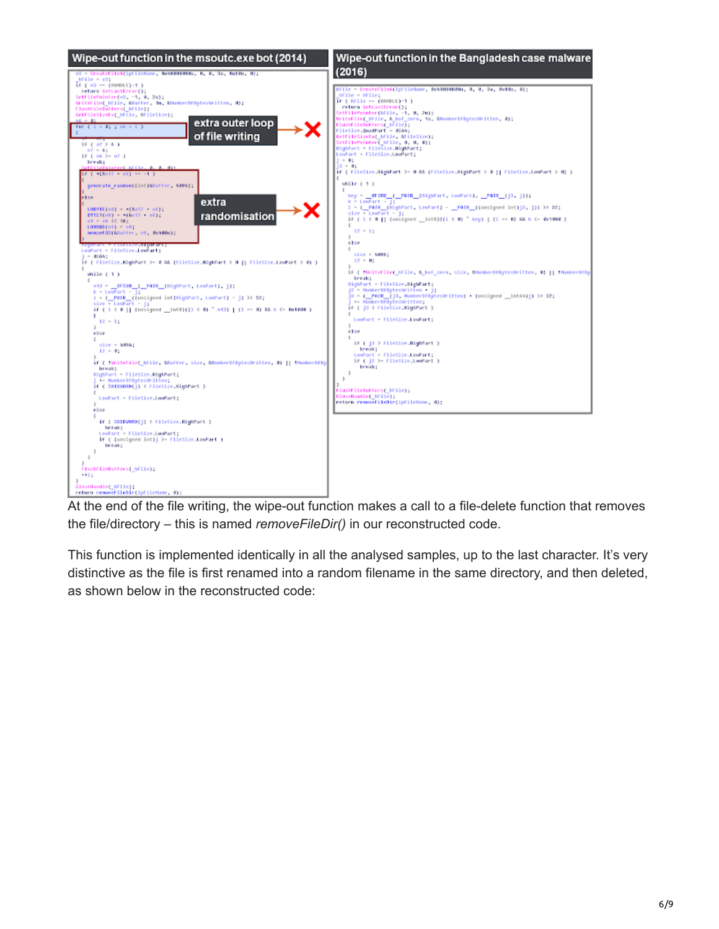

At the end of the file writing, the wipe-out function makes a call to a file-delete function that removes the file/directory – this is named *removeFileDir()* in our reconstructed code.

This function is implemented identically in all the analysed samples, up to the last character. It's very distinctive as the file is first renamed into a random filename in the same directory, and then deleted, as shown below in the reconstructed code: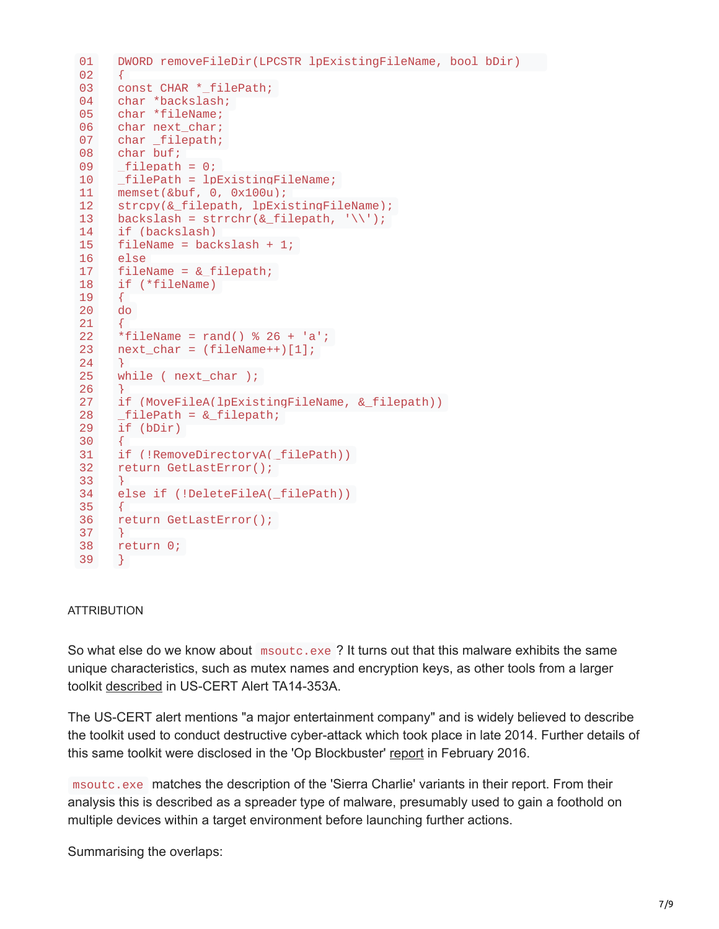```
01
02
03
04
char *backslash;
05
char *fileName;
06
char next_char;
07
char _filepath;
08
09
10
11
12
strcpy(&_filepath, lpExistingFileName);
13
backslash = strrchr(&_filepath, '\\');
14
15
16
17
18
19
20
21
22
23
24
25
26
27
28
29
30
31
32
33
34
35
36
37
38
39
     DWORD removeFileDir(LPCSTR lpExistingFileName, bool bDir)
     {
     const CHAR *_filePath;
    char buf;
    _{_{\text{}}-}filepath = 0;
     _filePath = 1pExistingFileName;
    memset(&buf, 0, 0x100u);
    if (backslash)
    fileName = backslash + 1;
    else
    fileName = &_filepath;
    if (*fileName)
     {
    do
     {
     *fileName = rand() % 26 + 'a';
     next_{char} = (fileName++)[1];}
     while ( next_char );
     }
     if (MoveFileA(lpExistingFileName, &_filepath))
     filePath = & filepath;if (bDir)
     \left\{ \right.if (!RemoveDirectoryA(_filePath))
     return GetLastError();
     }
     else if (!DeleteFileA(_filePath))
     {
     return GetLastError();
     }
    return 0;
     }
```
## **ATTRIBUTION**

So what else do we know about msoutc.exe ? It turns out that this malware exhibits the same unique characteristics, such as mutex names and encryption keys, as other tools from a larger toolkit [described](https://www.us-cert.gov/ncas/alerts/TA14-353A) in US-CERT Alert TA14-353A.

The US-CERT alert mentions "a major entertainment company" and is widely believed to describe the toolkit used to conduct destructive cyber-attack which took place in late 2014. Further details of this same toolkit were disclosed in the 'Op Blockbuster' [report](http://www.operationblockbuster.com/wp-content/uploads/2016/02/Operation-Blockbuster-Report.pdf) in February 2016.

msoutc.exe matches the description of the 'Sierra Charlie' variants in their report. From their analysis this is described as a spreader type of malware, presumably used to gain a foothold on multiple devices within a target environment before launching further actions.

Summarising the overlaps: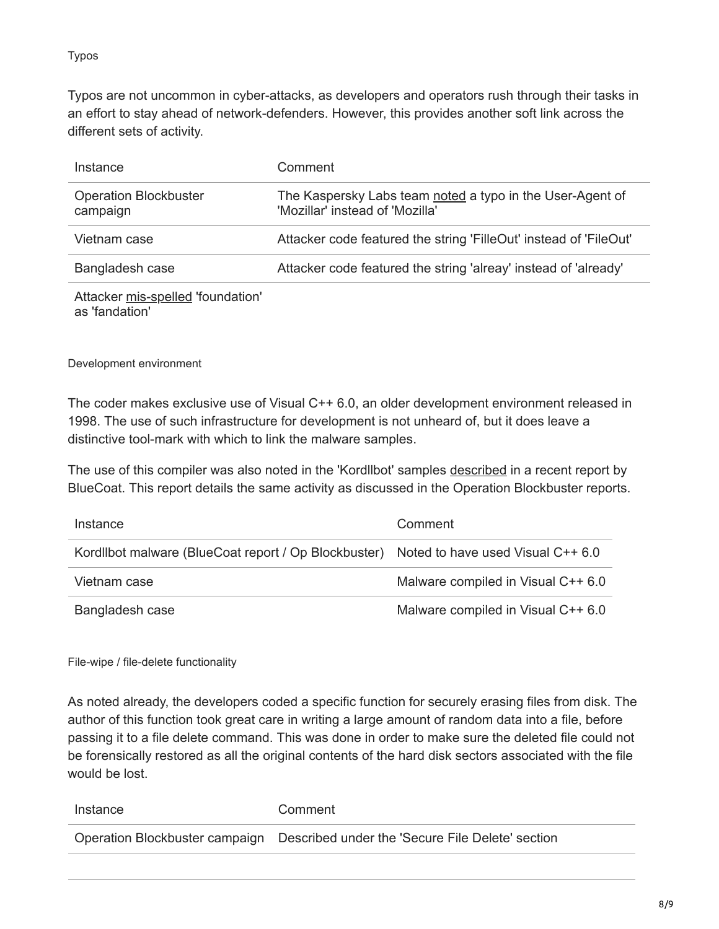Typos

Typos are not uncommon in cyber-attacks, as developers and operators rush through their tasks in an effort to stay ahead of network-defenders. However, this provides another soft link across the different sets of activity.

| Instance                                            | Comment                                                                                      |
|-----------------------------------------------------|----------------------------------------------------------------------------------------------|
| <b>Operation Blockbuster</b><br>campaign            | The Kaspersky Labs team noted a typo in the User-Agent of<br>'Mozillar' instead of 'Mozilla' |
| Vietnam case                                        | Attacker code featured the string 'FilleOut' instead of 'FileOut'                            |
| Bangladesh case                                     | Attacker code featured the string 'alreay' instead of 'already'                              |
| Attacker mis-spelled 'foundation'<br>as 'fandation' |                                                                                              |

Development environment

The coder makes exclusive use of Visual C++ 6.0, an older development environment released in 1998. The use of such infrastructure for development is not unheard of, but it does leave a distinctive tool-mark with which to link the malware samples.

The use of this compiler was also noted in the 'Kordllbot' samples [described](https://www.bluecoat.com/security-blog/2016-02-24/seoul-sony) in a recent report by BlueCoat. This report details the same activity as discussed in the Operation Blockbuster reports.

| Instance                                                                               | Comment                            |
|----------------------------------------------------------------------------------------|------------------------------------|
| Kordllbot malware (BlueCoat report / Op Blockbuster) Noted to have used Visual C++ 6.0 |                                    |
| Vietnam case                                                                           | Malware compiled in Visual C++ 6.0 |
| Bangladesh case                                                                        | Malware compiled in Visual C++ 6.0 |

File-wipe / file-delete functionality

As noted already, the developers coded a specific function for securely erasing files from disk. The author of this function took great care in writing a large amount of random data into a file, before passing it to a file delete command. This was done in order to make sure the deleted file could not be forensically restored as all the original contents of the hard disk sectors associated with the file would be lost.

| Instance | Comment                                                                         |
|----------|---------------------------------------------------------------------------------|
|          | Operation Blockbuster campaign Described under the 'Secure File Delete' section |